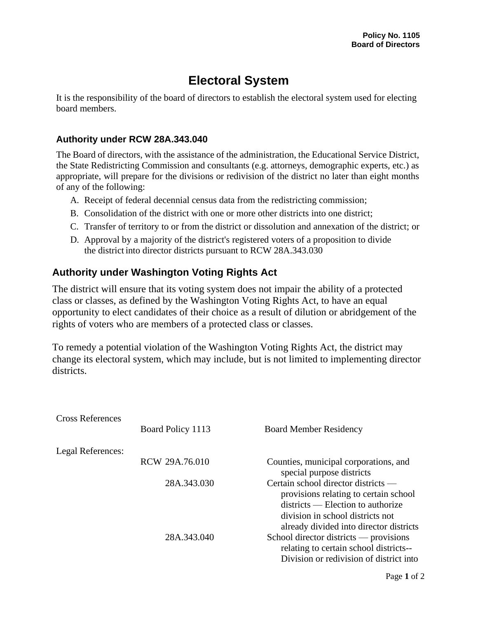## **Electoral System**

It is the responsibility of the board of directors to establish the electoral system used for electing board members.

## **Authority under RCW 28A.343.040**

The Board of directors, with the assistance of the administration, the Educational Service District, the State Redistricting Commission and consultants (e.g. attorneys, demographic experts, etc.) as appropriate, will prepare for the divisions or redivision of the district no later than eight months of any of the following:

- A. Receipt of federal decennial census data from the redistricting commission;
- B. Consolidation of the district with one or more other districts into one district;
- C. Transfer of territory to or from the district or dissolution and annexation of the district; or
- D. Approval by a majority of the district's registered voters of a proposition to divide the district into director districts pursuant to RCW 28A.343.030

## **Authority under Washington Voting Rights Act**

The district will ensure that its voting system does not impair the ability of a protected class or classes, as defined by the Washington Voting Rights Act, to have an equal opportunity to elect candidates of their choice as a result of dilution or abridgement of the rights of voters who are members of a protected class or classes.

To remedy a potential violation of the Washington Voting Rights Act, the district may change its electoral system, which may include, but is not limited to implementing director districts.

| <b>Cross References</b> | Board Policy 1113 | <b>Board Member Residency</b>                                                                                                                                                                      |
|-------------------------|-------------------|----------------------------------------------------------------------------------------------------------------------------------------------------------------------------------------------------|
| Legal References:       |                   |                                                                                                                                                                                                    |
|                         | RCW 29A.76.010    | Counties, municipal corporations, and<br>special purpose districts                                                                                                                                 |
|                         | 28A.343.030       | Certain school director districts —<br>provisions relating to certain school<br>$distriets$ - Election to authorize<br>division in school districts not<br>already divided into director districts |
|                         | 28A.343.040       | School director districts — provisions<br>relating to certain school districts--<br>Division or redivision of district into                                                                        |